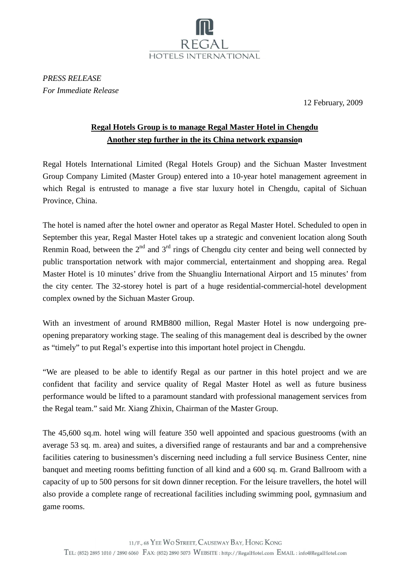

*PRESS RELEASE For Immediate Release* 

12 February, 2009

## **Regal Hotels Group is to manage Regal Master Hotel in Chengdu Another step further in the its China network expansion**

Regal Hotels International Limited (Regal Hotels Group) and the Sichuan Master Investment Group Company Limited (Master Group) entered into a 10-year hotel management agreement in which Regal is entrusted to manage a five star luxury hotel in Chengdu, capital of Sichuan Province, China.

The hotel is named after the hotel owner and operator as Regal Master Hotel. Scheduled to open in September this year, Regal Master Hotel takes up a strategic and convenient location along South Renmin Road, between the  $2<sup>nd</sup>$  and  $3<sup>rd</sup>$  rings of Chengdu city center and being well connected by public transportation network with major commercial, entertainment and shopping area. Regal Master Hotel is 10 minutes' drive from the Shuangliu International Airport and 15 minutes' from the city center. The 32-storey hotel is part of a huge residential-commercial-hotel development complex owned by the Sichuan Master Group.

With an investment of around RMB800 million, Regal Master Hotel is now undergoing preopening preparatory working stage. The sealing of this management deal is described by the owner as "timely" to put Regal's expertise into this important hotel project in Chengdu.

"We are pleased to be able to identify Regal as our partner in this hotel project and we are confident that facility and service quality of Regal Master Hotel as well as future business performance would be lifted to a paramount standard with professional management services from the Regal team." said Mr. Xiang Zhixin, Chairman of the Master Group.

The 45,600 sq.m. hotel wing will feature 350 well appointed and spacious guestrooms (with an average 53 sq. m. area) and suites, a diversified range of restaurants and bar and a comprehensive facilities catering to businessmen's discerning need including a full service Business Center, nine banquet and meeting rooms befitting function of all kind and a 600 sq. m. Grand Ballroom with a capacity of up to 500 persons for sit down dinner reception. For the leisure travellers, the hotel will also provide a complete range of recreational facilities including swimming pool, gymnasium and game rooms.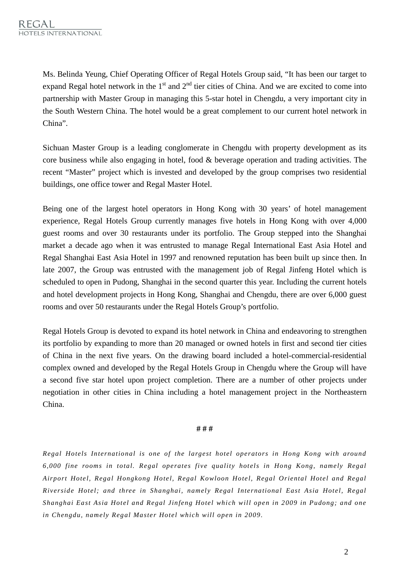Ms. Belinda Yeung, Chief Operating Officer of Regal Hotels Group said, "It has been our target to expand Regal hotel network in the  $1<sup>st</sup>$  and  $2<sup>nd</sup>$  tier cities of China. And we are excited to come into partnership with Master Group in managing this 5-star hotel in Chengdu, a very important city in the South Western China. The hotel would be a great complement to our current hotel network in China".

Sichuan Master Group is a leading conglomerate in Chengdu with property development as its core business while also engaging in hotel, food & beverage operation and trading activities. The recent "Master" project which is invested and developed by the group comprises two residential buildings, one office tower and Regal Master Hotel.

Being one of the largest hotel operators in Hong Kong with 30 years' of hotel management experience, Regal Hotels Group currently manages five hotels in Hong Kong with over 4,000 guest rooms and over 30 restaurants under its portfolio. The Group stepped into the Shanghai market a decade ago when it was entrusted to manage Regal International East Asia Hotel and Regal Shanghai East Asia Hotel in 1997 and renowned reputation has been built up since then. In late 2007, the Group was entrusted with the management job of Regal Jinfeng Hotel which is scheduled to open in Pudong, Shanghai in the second quarter this year. Including the current hotels and hotel development projects in Hong Kong, Shanghai and Chengdu, there are over 6,000 guest rooms and over 50 restaurants under the Regal Hotels Group's portfolio.

Regal Hotels Group is devoted to expand its hotel network in China and endeavoring to strengthen its portfolio by expanding to more than 20 managed or owned hotels in first and second tier cities of China in the next five years. On the drawing board included a hotel-commercial-residential complex owned and developed by the Regal Hotels Group in Chengdu where the Group will have a second five star hotel upon project completion. There are a number of other projects under negotiation in other cities in China including a hotel management project in the Northeastern China.

## **# # #**

*Regal Hotels International is one of the largest hotel operators in Hong Kong with around 6,000 fine rooms in total. Regal operates five quality hotels in Hong Kong, namely Regal Airport Hotel, Regal Hongkong Hotel, Regal Kowloon Hotel, Regal Oriental Hotel and Regal Riverside Hotel; and three in Shanghai, namely Regal International East Asia Hotel, Regal Shanghai East Asia Hotel and Regal Jinfeng Hotel which will open in 2009 in Pudong; and one in Chengdu, namely Regal Master Hotel which will open in 2009.*